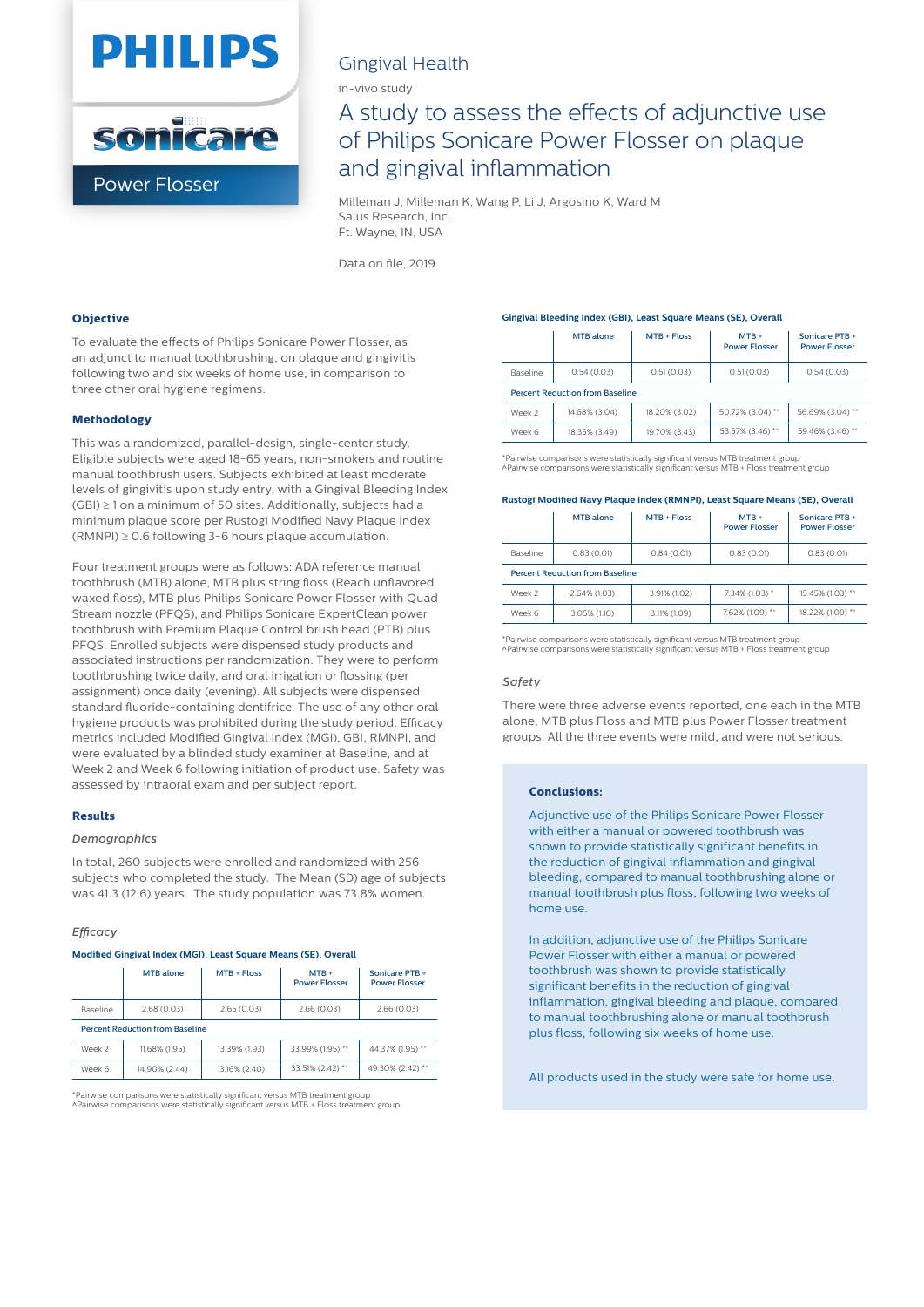



### Gingival Health

in-vivo study

## A study to assess the effects of adjunctive use of Philips Sonicare Power Flosser on plaque and gingival inflammation

Milleman J, Milleman K, Wang P, Li J, Argosino K, Ward M Salus Research, Inc. Ft. Wayne, IN, USA

Data on file, 2019

#### **Objective**

To evaluate the effects of Philips Sonicare Power Flosser, as an adjunct to manual toothbrushing, on plaque and gingivitis following two and six weeks of home use, in comparison to three other oral hygiene regimens.

#### **Methodology**

This was a randomized, parallel-design, single-center study. Eligible subjects were aged 18-65 years, non-smokers and routine manual toothbrush users. Subjects exhibited at least moderate levels of gingivitis upon study entry, with a Gingival Bleeding Index (GBI) ≥ 1 on a minimum of 50 sites. Additionally, subjects had a minimum plaque score per Rustogi Modified Navy Plaque Index  $(RMNPI) \geq 0.6$  following 3-6 hours plaque accumulation.

Four treatment groups were as follows: ADA reference manual toothbrush (MTB) alone, MTB plus string floss (Reach unflavored waxed floss), MTB plus Philips Sonicare Power Flosser with Quad Stream nozzle (PFQS), and Philips Sonicare ExpertClean power toothbrush with Premium Plaque Control brush head (PTB) plus PFQS. Enrolled subjects were dispensed study products and associated instructions per randomization. They were to perform toothbrushing twice daily, and oral irrigation or flossing (per assignment) once daily (evening). All subjects were dispensed standard fluoride-containing dentifrice. The use of any other oral hygiene products was prohibited during the study period. Efficacy metrics included Modified Gingival Index (MGI), GBI, RMNPI, and were evaluated by a blinded study examiner at Baseline, and at Week 2 and Week 6 following initiation of product use. Safety was assessed by intraoral exam and per subject report.

#### **Results**

#### *Demographics*

In total, 260 subjects were enrolled and randomized with 256 subjects who completed the study. The Mean (SD) age of subjects was 41.3 (12.6) years. The study population was 73.8% women.

#### *Efficacy*

#### **Modied Gingival Index (MGI), Least Square Means (SE), Overall**

|                                        | MTB alone     | $MTB + Floss$ | $MTB +$<br><b>Power Flosser</b> | Sonicare PTB +<br><b>Power Flosser</b> |  |  |  |
|----------------------------------------|---------------|---------------|---------------------------------|----------------------------------------|--|--|--|
| Baseline                               | 2.68(0.03)    | 2.65(0.03)    | 2.66(0.03)                      | 2.66(0.03)                             |  |  |  |
| <b>Percent Reduction from Baseline</b> |               |               |                                 |                                        |  |  |  |
| Week 2                                 | 11.68% (1.95) | 13.39% (1.93) | 33.99% (1.95) *^                | 44.37% (1.95) **                       |  |  |  |
| Week 6                                 | 14.90% (2.44) | 13.16% (2.40) | 33.51% (2.42) *^                | 49.30% (2.42) *^                       |  |  |  |

\*Pairwise comparisons were statistically signi
cant versus MTB treatment group ^Pairwise comparisons were statistically signi
cant versus MTB + Floss treatment group

#### **Gingival Bleeding Index (GBI), Least Square Means (SE), Overall**

|                                        | <b>MTB</b> alone | $MTB + Floss$ | $MTB +$<br><b>Power Flosser</b> | Sonicare PTB +<br><b>Power Flosser</b> |  |
|----------------------------------------|------------------|---------------|---------------------------------|----------------------------------------|--|
| Baseline                               | 0.54(0.03)       | 0.51(0.03)    | 0.51(0.03)                      | 0.54(0.03)                             |  |
| <b>Percent Reduction from Baseline</b> |                  |               |                                 |                                        |  |
| Week 2                                 | 14.68% (3.04)    | 18.20% (3.02) | 50.72% (3.04) *^                | 56.69% (3.04) **                       |  |
| Week 6                                 | 18.35% (3.49)    | 19.70% (3.43) | 53.57% (3.46) *^                | 59.46% (3.46) **                       |  |

\*Pairwise comparisons were statistically signi
cant versus MTB treatment group ^Pairwise comparisons were statistically signi
cant versus MTB + Floss treatment group

#### Rustogi Modified Navy Plaque Index (RMNPI), Least Square Means (SE), Overall

|                                        | MTB alone    | $MTB + Floss$ | $MTB +$<br><b>Power Flosser</b> | Sonicare PTB +<br><b>Power Flosser</b> |  |  |  |
|----------------------------------------|--------------|---------------|---------------------------------|----------------------------------------|--|--|--|
| Baseline                               | 0.83(0.01)   | 0.84(0.01)    | 0.83(0.01)                      | 0.83(0.01)                             |  |  |  |
| <b>Percent Reduction from Baseline</b> |              |               |                                 |                                        |  |  |  |
| Week 2                                 | 2.64% (1.03) | 3.91% (1.02)  | 7.34% (1.03) *                  | 15.45% (1.03) *^                       |  |  |  |
| Week 6                                 | 3.05% (1.10) | 3.11% (1.09)  | 7.62% (1.09) **                 | 18.22% (1.09) *^                       |  |  |  |

\*Pairwise comparisons were statistically signi
cant versus MTB treatment group ^Pairwise comparisons were statistically signi
cant versus MTB + Floss treatment group

#### *Safety*

There were three adverse events reported, one each in the MTB alone, MTB plus Floss and MTB plus Power Flosser treatment groups. All the three events were mild, and were not serious.

#### **Conclusions:**

Adjunctive use of the Philips Sonicare Power Flosser with either a manual or powered toothbrush was shown to provide statistically significant benefits in the reduction of gingival inflammation and gingival bleeding, compared to manual toothbrushing alone or manual toothbrush plus floss, following two weeks of home use.

In addition, adjunctive use of the Philips Sonicare Power Flosser with either a manual or powered toothbrush was shown to provide statistically significant benefits in the reduction of gingival inflammation, gingival bleeding and plaque, compared to manual toothbrushing alone or manual toothbrush plus floss, following six weeks of home use.

All products used in the study were safe for home use.